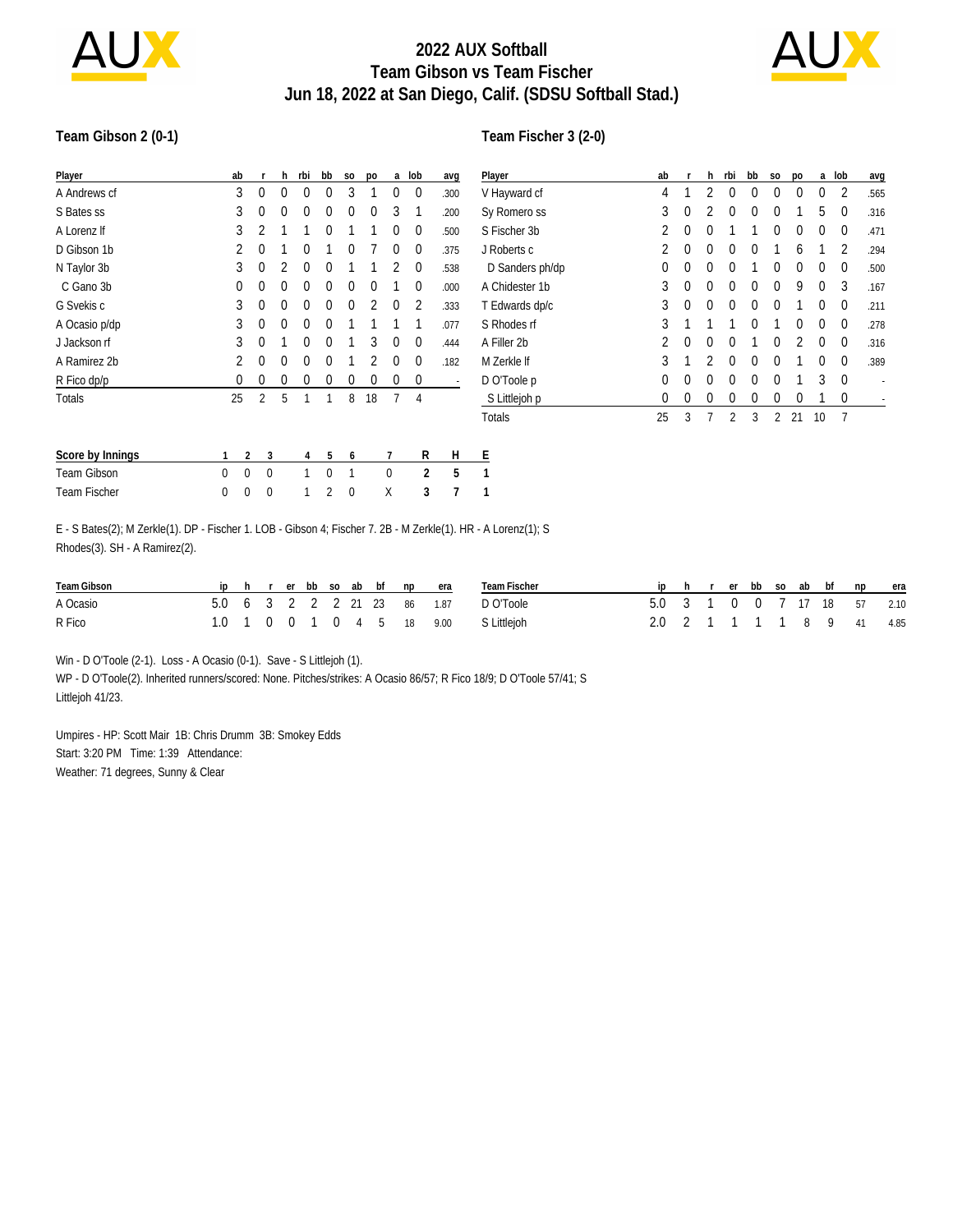

## **2022 AUX Softball Team Gibson vs Team Fischer Jun 18, 2022 at San Diego, Calif. (SDSU Softball Stad.)**



#### **Team Gibson 2 (0-1)**

#### **Team Fischer 3 (2-0)**

| Player              |   | ab             | r              | h | rbi | bb       | S <sub>0</sub> | po             | a        | lob            | avg  | $\overline{\mathsf{P}}$ |
|---------------------|---|----------------|----------------|---|-----|----------|----------------|----------------|----------|----------------|------|-------------------------|
| A Andrews cf        |   | 3              | 0              | 0 | 0   | $\Omega$ | 3              | 1              | 0        | 0              | .300 | V                       |
| S Bates ss          |   | 3              | $\theta$       | 0 | 0   | $\Omega$ | $\theta$       | $\Omega$       | 3        | 1              | .200 | S)                      |
| A Lorenz If         |   | 3              | 2              | 1 | 1   | 0        | 1              | 1              | 0        | $\theta$       | .500 | S                       |
| D Gibson 1b         |   | $\overline{2}$ | 0              | 1 | 0   | 1        | $\Omega$       | 7              | 0        | $\theta$       | .375 | J                       |
| N Taylor 3b         |   | 3              | 0              | 2 | 0   | $\theta$ |                | 1              | 2        | $\theta$       | .538 | I                       |
| C Gano 3b           |   | 0              | 0              | 0 | 0   | 0        | $\theta$       | $\Omega$       | 1        | 0              | .000 | Α                       |
| G Svekis c          |   | 3              | 0              | 0 | 0   | $\theta$ | $\theta$       | $\overline{2}$ | 0        | 2              | .333 | Τ                       |
| A Ocasio p/dp       |   | 3              | 0              | 0 | 0   | $\Omega$ | 1              | 1              | 1        | 1              | .077 | S                       |
| J Jackson rf        |   | 3              | $\Omega$       | 1 | 0   | $\theta$ |                | 3              | 0        | 0              | .444 | А                       |
| A Ramirez 2b        |   | 2              | $\theta$       | 0 | 0   | $\theta$ | 1              | 2              | 0        | 0              | .182 | M                       |
| R Fico dp/p         |   | 0              | 0              | 0 | 0   | 0        | $\theta$       | 0              | 0        | 0              |      | D                       |
| Totals              |   | 25             | $\overline{2}$ | 5 | 1   | 1        | 8              | 18             | 7        | 4              |      | $\ddot{\cdot}$          |
|                     |   |                |                |   |     |          |                |                |          |                |      | Τ                       |
| Score by Innings    | 1 | $\overline{2}$ | 3              |   | 4   | 5        | 6              |                | 7        | R              | Н    | E                       |
| <b>Team Gibson</b>  | 0 | $\Omega$       | $\theta$       |   | 1   | $\theta$ | 1              |                | $\Omega$ | $\overline{2}$ | 5    | 1                       |
| <b>Team Fischer</b> | 0 | 0              | 0              |   | 1   | 2        | 0              |                | Χ        | 3              | 7    | 1                       |

| Player          | ab       | r        | h              | rbi            | bb       | S <sub>O</sub> | po             | a        | lob      | avg  |
|-----------------|----------|----------|----------------|----------------|----------|----------------|----------------|----------|----------|------|
| V Hayward cf    | 4        | 1        | 2              | 0              | 0        | $\Omega$       | 0              | $\Omega$ | 2        | .565 |
| Sy Romero ss    | 3        | 0        | 2              | 0              | $\theta$ | $\Omega$       | 1              | 5        | $\Omega$ | .316 |
| S Fischer 3b    | 2        | 0        | 0              | 1              | 1        | 0              | 0              | $\Omega$ | 0        | .471 |
| J Roberts c     | 2        | $\Omega$ | $\Omega$       | $\Omega$       | 0        | 1              | 6              | 1        | 2        | .294 |
| D Sanders ph/dp | 0        | 0        | $\Omega$       | $\Omega$       | 1        | 0              | 0              | 0        | 0        | .500 |
| A Chidester 1b  | 3        | $\theta$ | $\Omega$       | $\Omega$       | $\theta$ | $\Omega$       | 9              | $\Omega$ | 3        | .167 |
| T Edwards dp/c  | 3        | $\theta$ | $\Omega$       | 0              | $\Omega$ | 0              | 1              | 0        | 0        | .211 |
| S Rhodes rf     | 3        | 1        | 1              | 1              | $\theta$ | 1              | 0              | 0        | 0        | .278 |
| A Filler 2b     | 2        | $\theta$ | $\Omega$       | $\Omega$       | 1        | $\Omega$       | $\overline{2}$ | $\Omega$ | $\Omega$ | .316 |
| M Zerkle If     | 3        | 1        | $\mathfrak{p}$ | 0              | 0        | 0              | 1              | 0        | 0        | .389 |
| D O'Toole p     | $\Omega$ | $\theta$ | 0              | 0              | $\theta$ | $\Omega$       | 1              | 3        | $\Omega$ |      |
| S Littlejoh p   | 0        | 0        | 0              | 0              | 0        | 0              | 0              | 1        | 0        |      |
| Totals          | 25       | 3        | 7              | $\overline{2}$ | 3        | 2              | 21             | 10       | 7        |      |

| E - S Bates(2); M Zerkle(1). DP - Fischer 1. LOB - Gibson 4; Fischer 7. 2B - M Zerkle(1). HR - A Lorenz(1); S |  |  |
|---------------------------------------------------------------------------------------------------------------|--|--|
| Rhodes(3). SH - A Ramirez(2).                                                                                 |  |  |

| Team Gibson |  |  |  |  | iphrerbbsoabbfnpera         | Team Fischer                          |                             |  |  |  | iphrerbbsoabbfnpera |  |
|-------------|--|--|--|--|-----------------------------|---------------------------------------|-----------------------------|--|--|--|---------------------|--|
| A Ocasio    |  |  |  |  | 5.0 6 3 2 2 2 21 23 86 1.87 | D O'Toole                             | 5.0 3 1 0 0 7 17 18 57 2.10 |  |  |  |                     |  |
| R Fico      |  |  |  |  |                             | 1.0 1 0 0 1 0 4 5 18 9.00 S Littlejoh | 2.0 2 1 1 1 1 8 9 41 4.85   |  |  |  |                     |  |

Win - D O'Toole (2-1). Loss - A Ocasio (0-1). Save - S Littlejoh (1).

WP - D O'Toole(2). Inherited runners/scored: None. Pitches/strikes: A Ocasio 86/57; R Fico 18/9; D O'Toole 57/41; S Littlejoh 41/23.

Umpires - HP: Scott Mair 1B: Chris Drumm 3B: Smokey Edds Start: 3:20 PM Time: 1:39 Attendance: Weather: 71 degrees, Sunny & Clear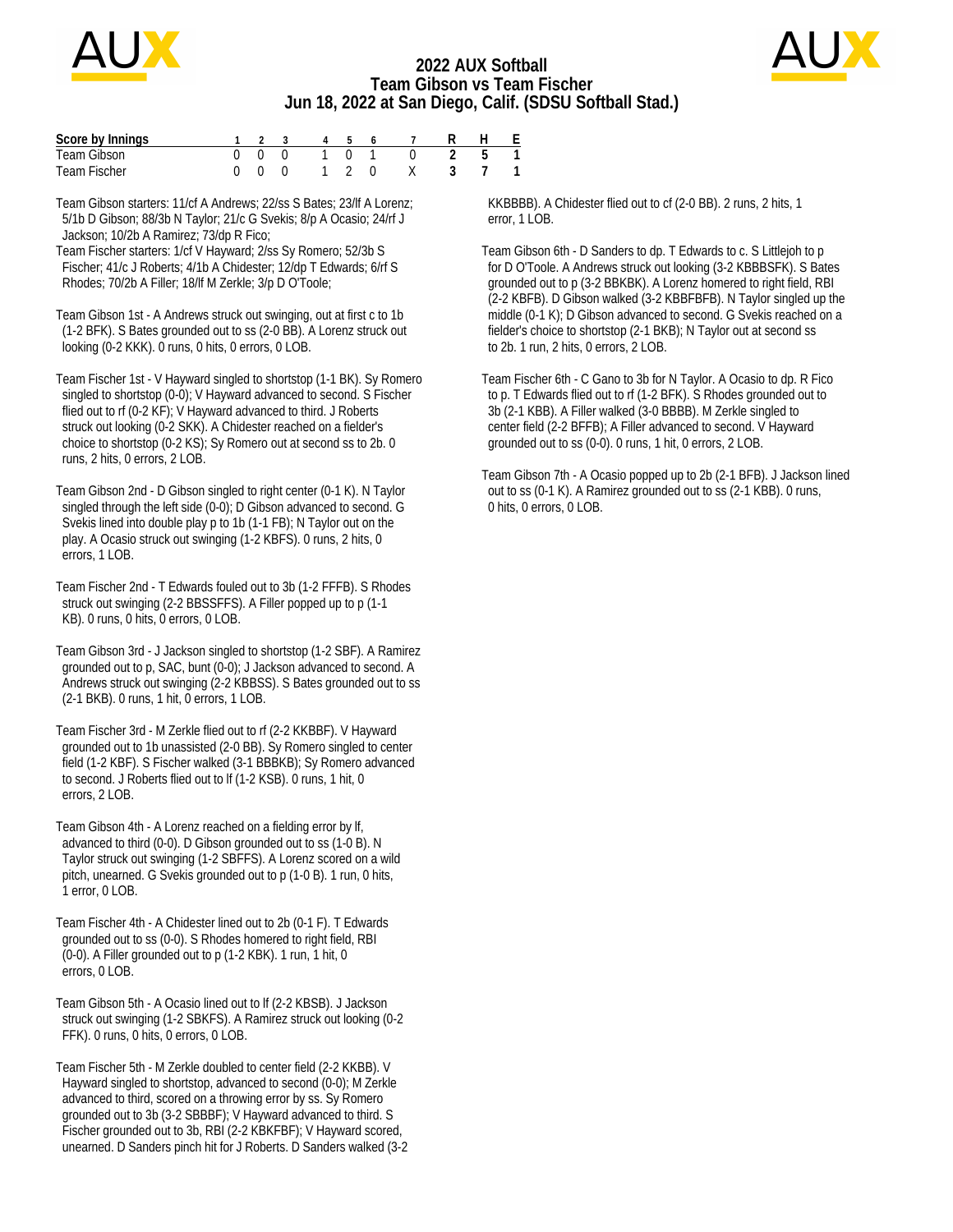

## **2022 AUX Softball Team Gibson vs Team Fischer Jun 18, 2022 at San Diego, Calif. (SDSU Softball Stad.)**



| Score by Innings |     |  | 4 5 |               |  | - F |
|------------------|-----|--|-----|---------------|--|-----|
| Team Gibson      | 000 |  |     | $1 \t 0 \t 1$ |  |     |
| Team Fischer     |     |  |     | 1 2 0         |  |     |

Team Gibson starters: 11/cf A Andrews; 22/ss S Bates; 23/lf A Lorenz; 5/1b D Gibson; 88/3b N Taylor; 21/c G Svekis; 8/p A Ocasio; 24/rf J Jackson; 10/2b A Ramirez; 73/dp R Fico;

Team Fischer starters: 1/cf V Hayward; 2/ss Sy Romero; 52/3b S Fischer; 41/c J Roberts; 4/1b A Chidester; 12/dp T Edwards; 6/rf S Rhodes; 70/2b A Filler; 18/lf M Zerkle; 3/p D O'Toole;

Team Gibson 1st - A Andrews struck out swinging, out at first c to 1b (1-2 BFK). S Bates grounded out to ss (2-0 BB). A Lorenz struck out looking (0-2 KKK). 0 runs, 0 hits, 0 errors, 0 LOB.

Team Fischer 1st - V Hayward singled to shortstop (1-1 BK). Sy Romero singled to shortstop (0-0); V Hayward advanced to second. S Fischer flied out to rf (0-2 KF); V Hayward advanced to third. J Roberts struck out looking (0-2 SKK). A Chidester reached on a fielder's choice to shortstop (0-2 KS); Sy Romero out at second ss to 2b. 0 runs, 2 hits, 0 errors, 2 LOB.

Team Gibson 2nd - D Gibson singled to right center (0-1 K). N Taylor singled through the left side (0-0); D Gibson advanced to second. G Svekis lined into double play p to 1b (1-1 FB); N Taylor out on the play. A Ocasio struck out swinging (1-2 KBFS). 0 runs, 2 hits, 0 errors, 1 LOB.

Team Fischer 2nd - T Edwards fouled out to 3b (1-2 FFFB). S Rhodes struck out swinging (2-2 BBSSFFS). A Filler popped up to p (1-1 KB). 0 runs, 0 hits, 0 errors, 0 LOB.

Team Gibson 3rd - J Jackson singled to shortstop (1-2 SBF). A Ramirez grounded out to p, SAC, bunt (0-0); J Jackson advanced to second. A Andrews struck out swinging (2-2 KBBSS). S Bates grounded out to ss (2-1 BKB). 0 runs, 1 hit, 0 errors, 1 LOB.

Team Fischer 3rd - M Zerkle flied out to rf (2-2 KKBBF). V Hayward grounded out to 1b unassisted (2-0 BB). Sy Romero singled to center field (1-2 KBF). S Fischer walked (3-1 BBBKB); Sy Romero advanced to second. J Roberts flied out to lf (1-2 KSB). 0 runs, 1 hit, 0 errors, 2 LOB.

Team Gibson 4th - A Lorenz reached on a fielding error by lf, advanced to third (0-0). D Gibson grounded out to ss (1-0 B). N Taylor struck out swinging (1-2 SBFFS). A Lorenz scored on a wild pitch, unearned. G Svekis grounded out to p (1-0 B). 1 run, 0 hits, 1 error, 0 LOB.

Team Fischer 4th - A Chidester lined out to 2b (0-1 F). T Edwards grounded out to ss (0-0). S Rhodes homered to right field, RBI (0-0). A Filler grounded out to p (1-2 KBK). 1 run, 1 hit, 0 errors, 0 LOB.

Team Gibson 5th - A Ocasio lined out to lf (2-2 KBSB). J Jackson struck out swinging (1-2 SBKFS). A Ramirez struck out looking (0-2 FFK). 0 runs, 0 hits, 0 errors, 0 LOB.

Team Fischer 5th - M Zerkle doubled to center field (2-2 KKBB). V Hayward singled to shortstop, advanced to second (0-0); M Zerkle advanced to third, scored on a throwing error by ss. Sy Romero grounded out to 3b (3-2 SBBBF); V Hayward advanced to third. S Fischer grounded out to 3b, RBI (2-2 KBKFBF); V Hayward scored, unearned. D Sanders pinch hit for J Roberts. D Sanders walked (3-2

 KKBBBB). A Chidester flied out to cf (2-0 BB). 2 runs, 2 hits, 1 error, 1 LOB.

Team Gibson 6th - D Sanders to dp. T Edwards to c. S Littlejoh to p for D O'Toole. A Andrews struck out looking (3-2 KBBBSFK). S Bates grounded out to p (3-2 BBKBK). A Lorenz homered to right field, RBI (2-2 KBFB). D Gibson walked (3-2 KBBFBFB). N Taylor singled up the middle (0-1 K); D Gibson advanced to second. G Svekis reached on a fielder's choice to shortstop (2-1 BKB); N Taylor out at second ss to 2b. 1 run, 2 hits, 0 errors, 2 LOB.

Team Fischer 6th - C Gano to 3b for N Taylor. A Ocasio to dp. R Fico to p. T Edwards flied out to rf (1-2 BFK). S Rhodes grounded out to 3b (2-1 KBB). A Filler walked (3-0 BBBB). M Zerkle singled to center field (2-2 BFFB); A Filler advanced to second. V Hayward grounded out to ss (0-0). 0 runs, 1 hit, 0 errors, 2 LOB.

Team Gibson 7th - A Ocasio popped up to 2b (2-1 BFB). J Jackson lined out to ss (0-1 K). A Ramirez grounded out to ss (2-1 KBB). 0 runs, 0 hits, 0 errors, 0 LOB.